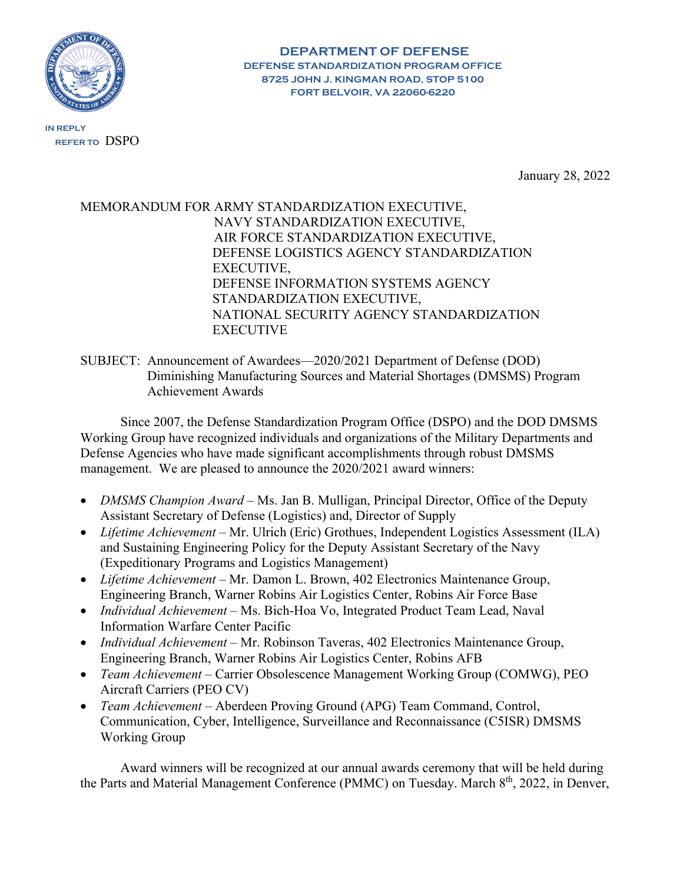

**REFER TO** DSPO

**IN REPLY**

**8725 JOHN J. KINGMAN ROAD, STOP 5100 FORT BELVOIR, VA 22060-6220**

**DEPARTMENT OF DEFENSE DEFENSE STANDARDIZATION PROGRAM OFFICE**

January 28, 2022

## MEMORANDUM FOR ARMY STANDARDIZATION EXECUTIVE, NAVY STANDARDIZATION EXECUTIVE, AIR FORCE STANDARDIZATION EXECUTIVE, DEFENSE LOGISTICS AGENCY STANDARDIZATION EXECUTIVE, DEFENSE INFORMATION SYSTEMS AGENCY STANDARDIZATION EXECUTIVE, NATIONAL SECURITY AGENCY STANDARDIZATION **EXECUTIVE**

## SUBJECT: Announcement of Awardees—2020/2021 Department of Defense (DOD) Diminishing Manufacturing Sources and Material Shortages (DMSMS) Program Achievement Awards

Since 2007, the Defense Standardization Program Office (DSPO) and the DOD DMSMS Working Group have recognized individuals and organizations of the Military Departments and Defense Agencies who have made significant accomplishments through robust DMSMS management. We are pleased to announce the 2020/2021 award winners:

- *DMSMS Champion Award* Ms. Jan B. Mulligan, Principal Director, Office of the Deputy Assistant Secretary of Defense (Logistics) and, Director of Supply
- *Lifetime Achievement* Mr. Ulrich (Eric) Grothues, Independent Logistics Assessment (ILA) and Sustaining Engineering Policy for the Deputy Assistant Secretary of the Navy (Expeditionary Programs and Logistics Management)
- *Lifetime Achievement* Mr. Damon L. Brown, 402 Electronics Maintenance Group, Engineering Branch, Warner Robins Air Logistics Center, Robins Air Force Base
- *Individual Achievement* Ms. Bich-Hoa Vo, Integrated Product Team Lead, Naval Information Warfare Center Pacific
- *Individual Achievement* Mr. Robinson Taveras, 402 Electronics Maintenance Group, Engineering Branch, Warner Robins Air Logistics Center, Robins AFB
- *Team Achievement* Carrier Obsolescence Management Working Group (COMWG), PEO Aircraft Carriers (PEO CV)
- *Team Achievement* Aberdeen Proving Ground (APG) Team Command, Control, Communication, Cyber, Intelligence, Surveillance and Reconnaissance (C5ISR) DMSMS Working Group

Award winners will be recognized at our annual awards ceremony that will be held during the Parts and Material Management Conference (PMMC) on Tuesday. March 8<sup>th</sup>, 2022, in Denver,